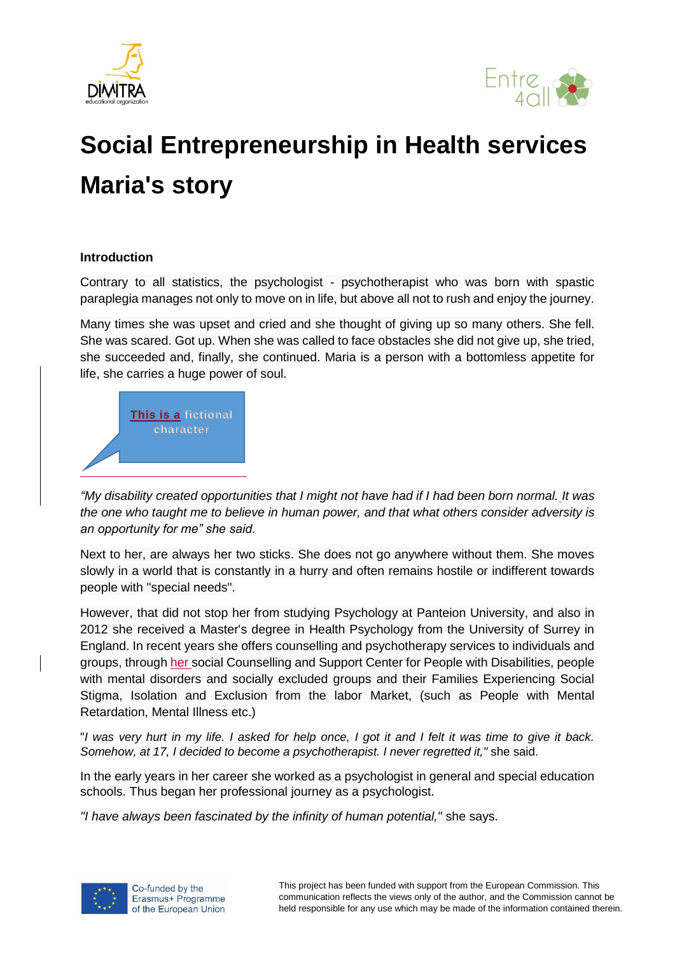



# **Social Entrepreneurship in Health services Maria's story**

### **Introduction**

Contrary to all statistics, the psychologist - psychotherapist who was born with spastic paraplegia manages not only to move on in life, but above all not to rush and enjoy the journey.

Many times she was upset and cried and she thought of giving up so many others. She fell. She was scared. Got up. When she was called to face obstacles she did not give up, she tried, she succeeded and, finally, she continued. Maria is a person with a bottomless appetite for life, she carries a huge power of soul.



*"My disability created opportunities that I might not have had if I had been born normal. It was the one who taught me to believe in human power, and that what others consider adversity is an opportunity for me" she said.*

Next to her, are always her two sticks. She does not go anywhere without them. She moves slowly in a world that is constantly in a hurry and often remains hostile or indifferent towards people with "special needs".

However, that did not stop her from studying Psychology at Panteion University, and also in 2012 she received a Master's degree in Health Psychology from the University of Surrey in England. In recent years she offers counselling and psychotherapy services to individuals and groups, through her social Counselling and Support Center for People with Disabilities, people with mental disorders and socially excluded groups and their Families Experiencing Social Stigma, Isolation and Exclusion from the labor Market, (such as People with Mental Retardation, Mental Illness etc.)

"*I was very hurt in my life. I asked for help once, I got it and I felt it was time to give it back. Somehow, at 17, I decided to become a psychotherapist. I never regretted it,"* she said.

In the early years in her career she worked as a psychologist in general and special education schools. Thus began her professional journey as a psychologist.

*"I have always been fascinated by the infinity of human potential,"* she says.

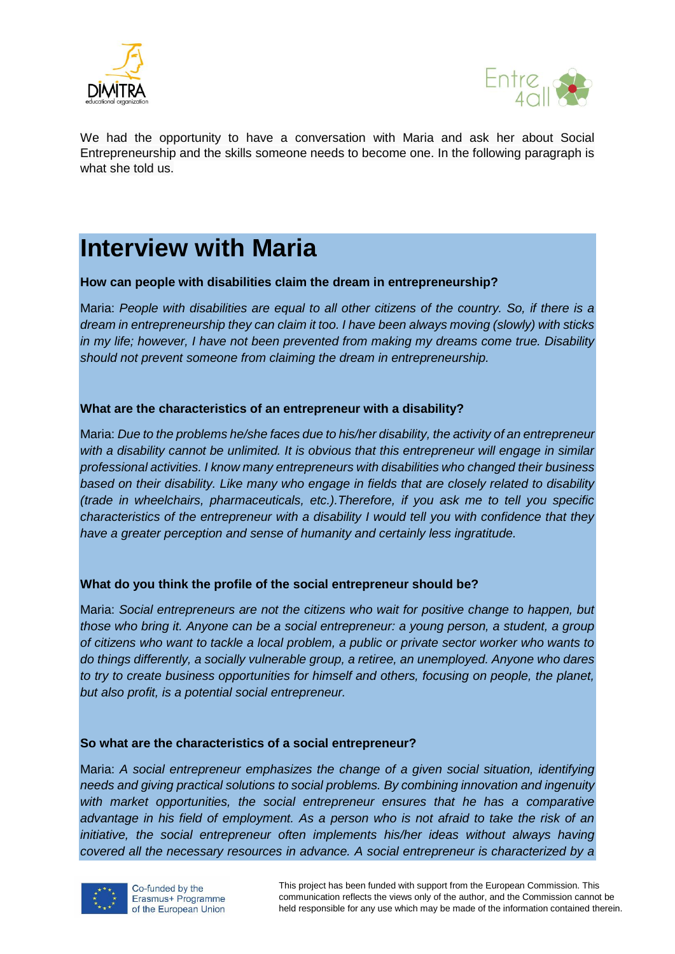



We had the opportunity to have a conversation with Maria and ask her about Social Entrepreneurship and the skills someone needs to become one. In the following paragraph is what she told us.

# **Interview with Maria**

### **How can people with disabilities claim the dream in entrepreneurship?**

Maria: *People with disabilities are equal to all other citizens of the country. So, if there is a dream in entrepreneurship they can claim it too. I have been always moving (slowly) with sticks in my life; however, I have not been prevented from making my dreams come true. Disability should not prevent someone from claiming the dream in entrepreneurship.*

#### **What are the characteristics of an entrepreneur with a disability?**

Maria: *Due to the problems he/she faces due to his/her disability, the activity of an entrepreneur with a disability cannot be unlimited. It is obvious that this entrepreneur will engage in similar professional activities. I know many entrepreneurs with disabilities who changed their business based on their disability. Like many who engage in fields that are closely related to disability (trade in wheelchairs, pharmaceuticals, etc.).Therefore, if you ask me to tell you specific characteristics of the entrepreneur with a disability I would tell you with confidence that they have a greater perception and sense of humanity and certainly less ingratitude.*

### **What do you think the profile of the social entrepreneur should be?**

Maria: *Social entrepreneurs are not the citizens who wait for positive change to happen, but those who bring it. Anyone can be a social entrepreneur: a young person, a student, a group of citizens who want to tackle a local problem, a public or private sector worker who wants to do things differently, a socially vulnerable group, a retiree, an unemployed. Anyone who dares to try to create business opportunities for himself and others, focusing on people, the planet, but also profit, is a potential social entrepreneur.*

### **So what are the characteristics of a social entrepreneur?**

Maria: *A social entrepreneur emphasizes the change of a given social situation, identifying needs and giving practical solutions to social problems. By combining innovation and ingenuity with market opportunities, the social entrepreneur ensures that he has a comparative advantage in his field of employment. As a person who is not afraid to take the risk of an initiative, the social entrepreneur often implements his/her ideas without always having covered all the necessary resources in advance. A social entrepreneur is characterized by a* 

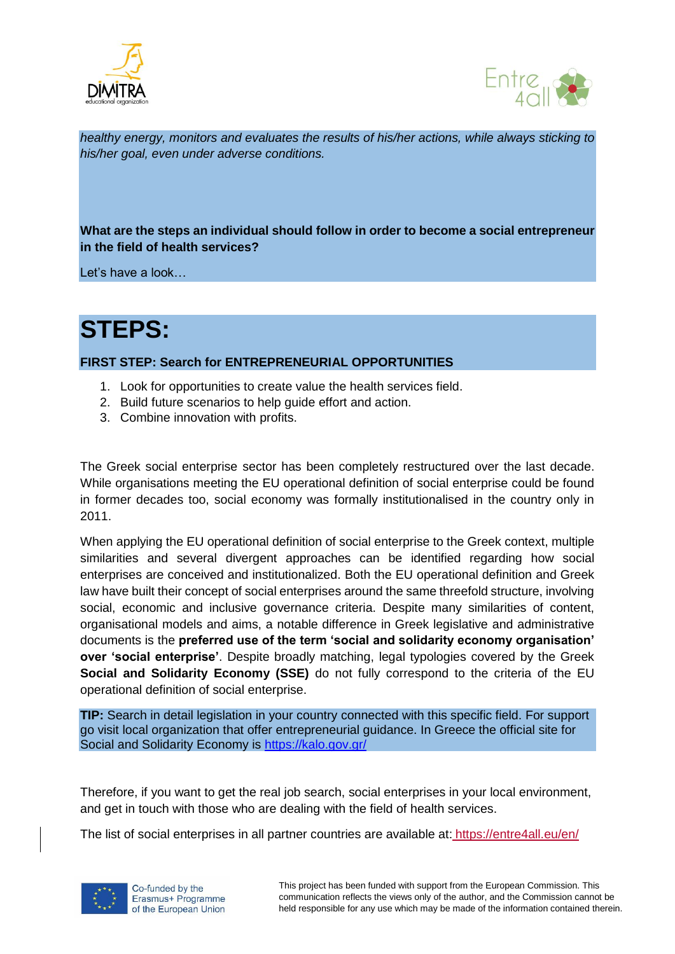



*healthy energy, monitors and evaluates the results of his/her actions, while always sticking to his/her goal, even under adverse conditions.*

# **What are the steps an individual should follow in order to become a social entrepreneur in the field of health services?**

Let's have a look…

# **STEPS:**

# **FIRST STEP: Search for ENTREPRENEURIAL OPPORTUNITIES**

- 1. Look for opportunities to create value the health services field.
- 2. Build future scenarios to help guide effort and action.
- 3. Combine innovation with profits.

The Greek social enterprise sector has been completely restructured over the last decade. While organisations meeting the EU operational definition of social enterprise could be found in former decades too, social economy was formally institutionalised in the country only in 2011.

When applying the EU operational definition of social enterprise to the Greek context, multiple similarities and several divergent approaches can be identified regarding how social enterprises are conceived and institutionalized. Both the EU operational definition and Greek law have built their concept of social enterprises around the same threefold structure, involving social, economic and inclusive governance criteria. Despite many similarities of content, organisational models and aims, a notable difference in Greek legislative and administrative documents is the **preferred use of the term 'social and solidarity economy organisation' over 'social enterprise'**. Despite broadly matching, legal typologies covered by the Greek **Social and Solidarity Economy (SSE)** do not fully correspond to the criteria of the EU operational definition of social enterprise.

**TIP:** Search in detail legislation in your country connected with this specific field. For support go visit local organization that offer entrepreneurial guidance. In Greece the official site for Social and Solidarity Economy is<https://kalo.gov.gr/>

Therefore, if you want to get the real job search, social enterprises in your local environment, and get in touch with those who are dealing with the field of health services.

The list of social enterprises in all partner countries are available at: https://entre4all.eu/en/

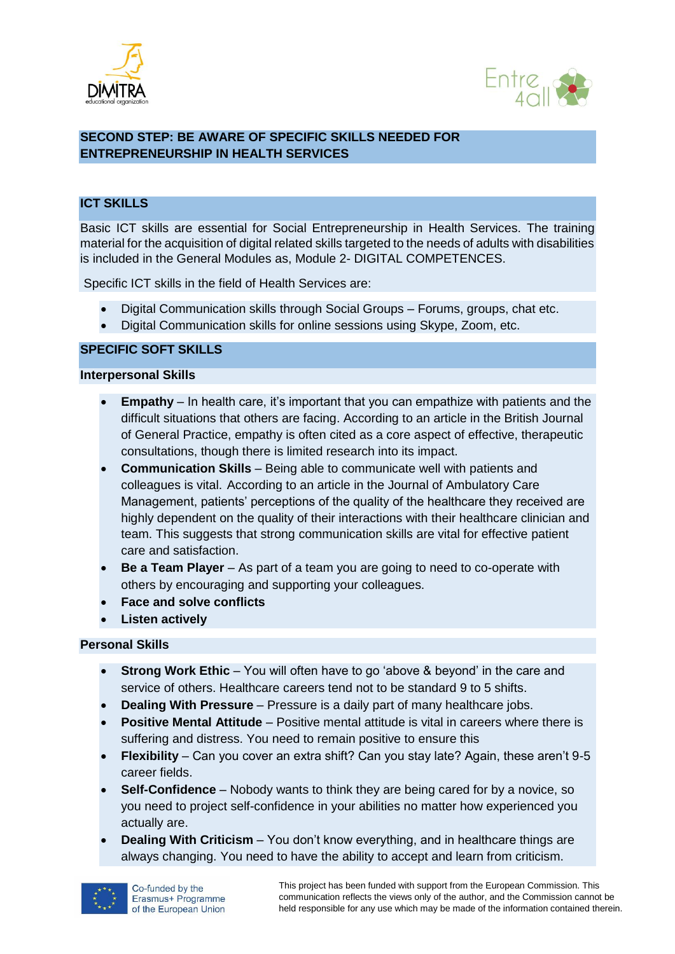



# **SECOND STEP: BE AWARE OF SPECIFIC SKILLS NEEDED FOR ENTREPRENEURSHIP IN HEALTH SERVICES**

# **ICT SKILLS**

Basic ICT skills are essential for Social Entrepreneurship in Health Services. The training material for the acquisition of digital related skills targeted to the needs of adults with disabilities is included in the General Modules as, Module 2- DIGITAL COMPETENCES.

Specific ICT skills in the field of Health Services are:

- Digital Communication skills through Social Groups Forums, groups, chat etc.
- Digital Communication skills for online sessions using Skype, Zoom, etc.

# **SPECIFIC SOFT SKILLS**

### **Interpersonal Skills**

- **Empathy** In health care, it's important that you can empathize with patients and the difficult situations that others are facing. According to an article in the British Journal of General Practice, empathy is often cited as a core aspect of effective, therapeutic consultations, though there is limited research into its impact.
- **Communication Skills** Being able to communicate well with patients and colleagues is vital. According to an article in the Journal of Ambulatory Care Management, patients' perceptions of the quality of the healthcare they received are highly dependent on the quality of their interactions with their healthcare clinician and team. This suggests that strong communication skills are vital for effective patient care and satisfaction.
- **Be a Team Player** As part of a team you are going to need to co-operate with others by encouraging and supporting your colleagues.
- **Face and solve conflicts**
- **Listen actively**

### **Personal Skills**

- **Strong Work Ethic** You will often have to go 'above & beyond' in the care and service of others. Healthcare careers tend not to be standard 9 to 5 shifts.
- **Dealing With Pressure** Pressure is a daily part of many healthcare jobs.
- **Positive Mental Attitude** Positive mental attitude is vital in careers where there is suffering and distress. You need to remain positive to ensure this
- **Flexibility** Can you cover an extra shift? Can you stay late? Again, these aren't 9-5 career fields.
- **Self-Confidence** Nobody wants to think they are being cared for by a novice, so you need to project self-confidence in your abilities no matter how experienced you actually are.
- **Dealing With Criticism** You don't know everything, and in healthcare things are always changing. You need to have the ability to accept and learn from criticism.

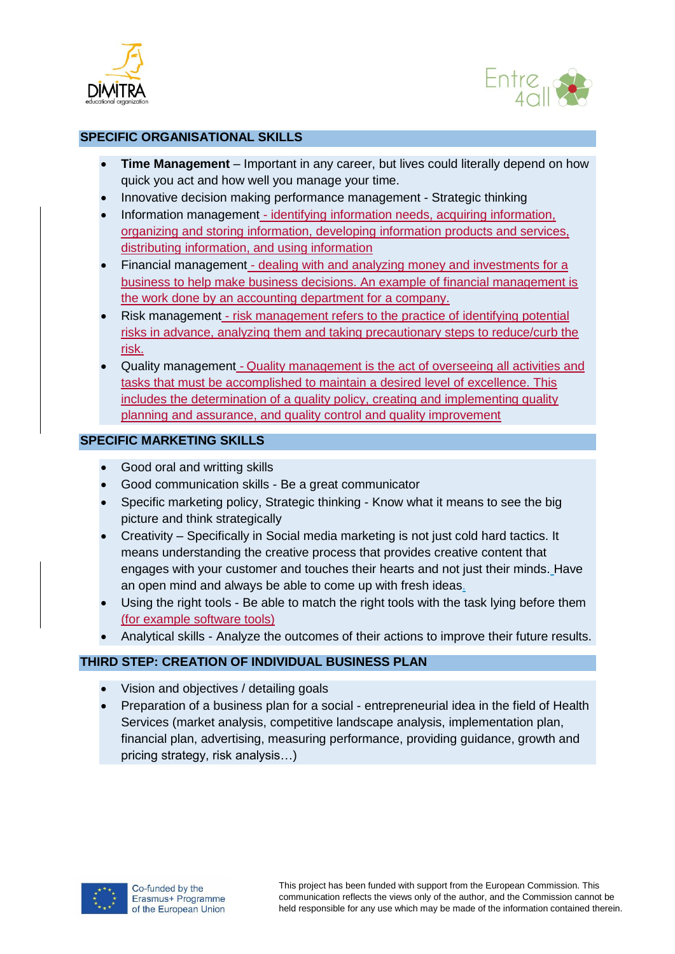



# **SPECIFIC ORGANISATIONAL SKILLS**

- **Time Management** Important in any career, but lives could literally depend on how quick you act and how well you manage your time.
- Innovative decision making performance management Strategic thinking
- Information management identifying information needs, acquiring information, organizing and storing information, developing information products and services, distributing information, and using information
- Financial management dealing with and analyzing money and investments for a business to help make business decisions. An example of financial management is the work done by an accounting department for a company.
- Risk management risk management refers to the practice of identifying potential risks in advance, analyzing them and taking precautionary steps to reduce/curb the risk.
- Quality management Quality management is the act of overseeing all activities and tasks that must be accomplished to maintain a desired level of excellence. This includes the determination of a quality policy, creating and implementing quality planning and assurance, and quality control and quality improvement

# **SPECIFIC MARKETING SKILLS**

- Good oral and writting skills
- Good communication skills Be a great communicator
- Specific marketing policy, Strategic thinking Know what it means to see the big picture and think strategically
- Creativity Specifically in [Social media marketing](https://www.jeffbullas.com/social-media-marketing-guide/) is not just cold hard tactics. It means understanding the creative process that provides creative content that engages with your customer and touches their hearts and not just their minds. Have an open mind and always be able to come up with fresh ideas.
- Using the right tools Be able to match the right tools with the task lying before them (for example software tools)
- Analytical skills Analyze the outcomes of their actions to improve their future results.

# **THIRD STEP: CREATION OF INDIVIDUAL BUSINESS PLAN**

- Vision and objectives / detailing goals
- Preparation of a business plan for a social entrepreneurial idea in the field of Health Services (market analysis, competitive landscape analysis, implementation plan, financial plan, advertising, measuring performance, providing guidance, growth and pricing strategy, risk analysis…)